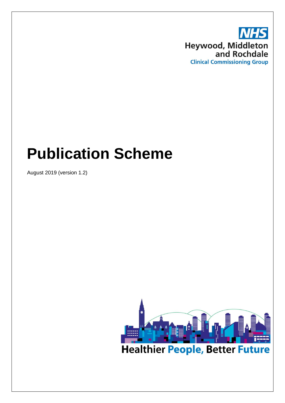

# **Publication Scheme**

August 2019 (version 1.2)

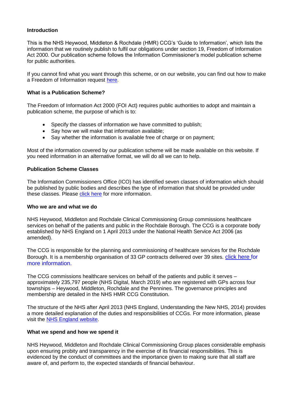# **Introduction**

This is the NHS Heywood, Middleton & Rochdale (HMR) CCG's 'Guide to Information', which lists the information that we routinely publish to fulfil our obligations under section 19, Freedom of Information Act 2000. Our publication scheme follows the Information Commissioner's model publication scheme for public authorities.

If you cannot find what you want through this scheme, or on our website, you can find out how to make a Freedom of Information request [here.](https://www.hmr.nhs.uk/get-in-touch/freedom-of-information)

#### **What is a Publication Scheme?**

The Freedom of Information Act 2000 (FOI Act) requires public authorities to adopt and maintain a publication scheme, the purpose of which is to:

- Specify the classes of information we have committed to publish:
- Say how we will make that information available;
- Say whether the information is available free of charge or on payment;

Most of the information covered by our publication scheme will be made available on this website. If you need information in an alternative format, we will do all we can to help.

#### **Publication Scheme Classes**

The Information Commissioners Office (ICO) has identified seven classes of information which should be published by public bodies and describes the type of information that should be provided under these classes. Please [click here](https://ico.org.uk/media/for-organisations/documents/1220/definition-document-health-bodies-in-england.pdf) for more information.

#### **Who we are and what we do**

NHS Heywood, Middleton and Rochdale Clinical Commissioning Group commissions healthcare services on behalf of the patients and public in the Rochdale Borough. The CCG is a corporate body established by NHS England on 1 April 2013 under the National Health Service Act 2006 (as amended).

The CCG is responsible for the planning and commissioning of healthcare services for the Rochdale Borough. It is a membership organisation of 33 GP contracts delivered over 39 sites. [click here](https://www.hmr.nhs.uk/your-health/gp-member-practices) for more information.

The CCG commissions healthcare services on behalf of the patients and public it serves – approximately 235,797 people (NHS Digital, March 2019) who are registered with GPs across four townships – Heywood, Middleton, Rochdale and the Pennines. The governance principles and membership are detailed in the NHS HMR CCG Constitution.

The structure of the NHS after April 2013 (NHS England, Understanding the New NHS, 2014) provides a more detailed explanation of the duties and responsibilities of CCGs. For more information, please visit the [NHS England website.](https://www.england.nhs.uk/)

#### **What we spend and how we spend it**

NHS Heywood, Middleton and Rochdale Clinical Commissioning Group places considerable emphasis upon ensuring probity and transparency in the exercise of its financial responsibilities. This is evidenced by the conduct of committees and the importance given to making sure that all staff are aware of, and perform to, the expected standards of financial behaviour.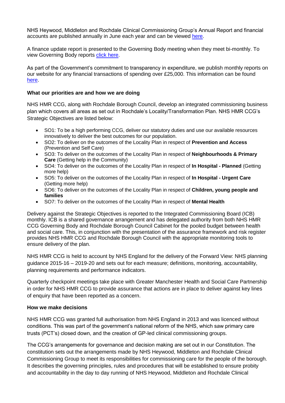NHS Heywood, Middleton and Rochdale Clinical Commissioning Group's Annual Report and financial accounts are published annually in June each year and can be viewed [here.](https://www.hmr.nhs.uk/policies-plans-and-reports/annual-reports-and-accounts)

A finance update report is presented to the Governing Body meeting when they meet bi-monthly. To view Governing Body reports [click here.](https://www.hmr.nhs.uk/meetings/governing-body/gb-17-18-and-18-19-papers-ratified-mins-public-questions-and-responses)

As part of the Government's commitment to transparency in expenditure, we publish monthly reports on our website for any financial transactions of spending over £25,000. This information can be found [here.](https://www.hmr.nhs.uk/policies-plans-and-reports/spend-over-25k)

# **What our priorities are and how we are doing**

NHS HMR CCG, along with Rochdale Borough Council, develop an integrated commissioning business plan which covers all areas as set out in Rochdale's Locality/Transformation Plan. NHS HMR CCG's Strategic Objectives are listed below:

- SO1: To be a high performing CCG, deliver our statutory duties and use our available resources innovatively to deliver the best outcomes for our population.
- SO2: To deliver on the outcomes of the Locality Plan in respect of **Prevention and Access** (Prevention and Self Care)
- SO3: To deliver on the outcomes of the Locality Plan in respect of **Neighbourhoods & Primary Care** (Getting help in the Community)
- SO4: To deliver on the outcomes of the Locality Plan in respect of **In Hospital - Planned** (Getting more help)
- SO5: To deliver on the outcomes of the Locality Plan in respect of **In Hospital - Urgent Care** (Getting more help)
- SO6: To deliver on the outcomes of the Locality Plan in respect of **Children, young people and families**
- SO7: To deliver on the outcomes of the Locality Plan in respect of **Mental Health**

Delivery against the Strategic Objectives is reported to the Integrated Commissioning Board (ICB) monthly. ICB is a shared governance arrangement and has delegated authority from both NHS HMR CCG Governing Body and Rochdale Borough Council Cabinet for the pooled budget between health and social care. This, in conjunction with the presentation of the assurance framework and risk register provides NHS HMR CCG and Rochdale Borough Council with the appropriate monitoring tools to ensure delivery of the plan.

NHS HMR CCG is held to account by NHS England for the delivery of the Forward View: NHS planning guidance 2015-16 – 2019-20 and sets out for each measure; definitions, monitoring, accountability, planning requirements and performance indicators.

Quarterly checkpoint meetings take place with Greater Manchester Health and Social Care Partnership in order for NHS HMR CCG to provide assurance that actions are in place to deliver against key lines of enquiry that have been reported as a concern.

# **How we make decisions**

NHS HMR CCG was granted full authorisation from NHS England in 2013 and was licenced without conditions. This was part of the government's national reform of the NHS, which saw primary care trusts (PCT's) closed down, and the creation of GP-led clinical commissioning groups.

The CCG's arrangements for governance and decision making are set out in our Constitution. The constitution sets out the arrangements made by NHS Heywood, Middleton and Rochdale Clinical Commissioning Group to meet its responsibilities for commissioning care for the people of the borough. It describes the governing principles, rules and procedures that will be established to ensure probity and accountability in the day to day running of NHS Heywood, Middleton and Rochdale Clinical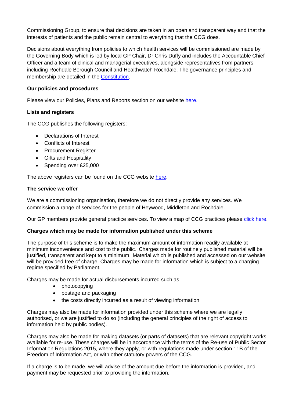Commissioning Group, to ensure that decisions are taken in an open and transparent way and that the interests of patients and the public remain central to everything that the CCG does.

Decisions about everything from policies to which health services will be commissioned are made by the Governing Body which is led by local GP Chair, Dr Chris Duffy and includes the Accountable Chief Officer and a team of clinical and managerial executives, alongside representatives from partners including Rochdale Borough Council and Healthwatch Rochdale. The governance principles and membership are detailed in the [Constitution.](https://www.hmr.nhs.uk/download/our_organisation/policies_plans_and_reports/Constitution_V13_Approved_by_NHS_England_June_2017.pdf)

# **Our policies and procedures**

Please view our Policies, Plans and Reports section on our website [here.](https://www.hmr.nhs.uk/policies-plans-and-reports)

# **Lists and registers**

The CCG publishes the following registers:

- Declarations of Interest
- Conflicts of Interest
- Procurement Register
- Gifts and Hospitality
- Spending over £25,000

The above registers can be found on the CCG website [here.](https://www.hmr.nhs.uk/policies-plans-and-reports/declarations-of-interest)

# **The service we offer**

We are a commissioning organisation, therefore we do not directly provide any services. We commission a range of services for the people of Heywood, Middleton and Rochdale.

Our GP members provide general practice services. To view a map of CCG practices please [click here.](https://www.hmr.nhs.uk/your-health/gp-member-practices)

# **Charges which may be made for information published under this scheme**

The purpose of this scheme is to make the maximum amount of information readily available at minimum inconvenience and cost to the public. Charges made for routinely published material will be justified, transparent and kept to a minimum. Material which is published and accessed on our website will be provided free of charge. Charges may be made for information which is subject to a charging regime specified by Parliament.

Charges may be made for actual disbursements incurred such as:

- photocopying
- postage and packaging
- the costs directly incurred as a result of viewing information

Charges may also be made for information provided under this scheme where we are legally authorised, or we are justified to do so (including the general principles of the right of access to information held by public bodies).

Charges may also be made for making datasets (or parts of datasets) that are relevant copyright works available for re-use. These charges will be in accordance with the terms of the Re-use of Public Sector Information Regulations 2015, where they apply, or with regulations made under section 11B of the Freedom of Information Act, or with other statutory powers of the CCG.

If a charge is to be made, we will advise of the amount due before the information is provided, and payment may be requested prior to providing the information.